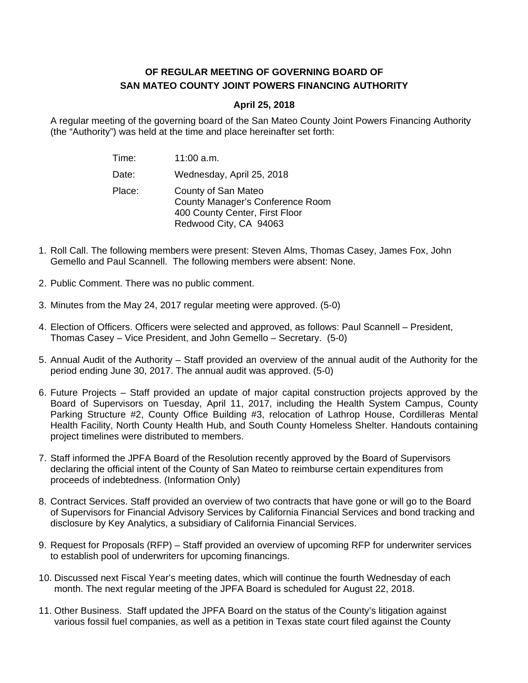## **OF REGULAR MEETING OF GOVERNING BOARD OF SAN MATEO COUNTY JOINT POWERS FINANCING AUTHORITY**

## **April 25, 2018**

A regular meeting of the governing board of the San Mateo County Joint Powers Financing Authority (the "Authority") was held at the time and place hereinafter set forth:

| Time:  | 11:00 a.m.                                                                                                          |
|--------|---------------------------------------------------------------------------------------------------------------------|
| Date:  | Wednesday, April 25, 2018                                                                                           |
| Place: | County of San Mateo<br>County Manager's Conference Room<br>400 County Center, First Floor<br>Redwood City, CA 94063 |

- 1. Roll Call. The following members were present: Steven Alms, Thomas Casey, James Fox, John Gemello and Paul Scannell. The following members were absent: None.
- 2. Public Comment. There was no public comment.
- 3. Minutes from the May 24, 2017 regular meeting were approved. (5-0)
- 4. Election of Officers. Officers were selected and approved, as follows: Paul Scannell President, Thomas Casey – Vice President, and John Gemello – Secretary. (5-0)
- 5. Annual Audit of the Authority Staff provided an overview of the annual audit of the Authority for the period ending June 30, 2017. The annual audit was approved. (5-0)
- 6. Future Projects Staff provided an update of major capital construction projects approved by the Board of Supervisors on Tuesday, April 11, 2017, including the Health System Campus, County Parking Structure #2, County Office Building #3, relocation of Lathrop House, Cordilleras Mental Health Facility, North County Health Hub, and South County Homeless Shelter. Handouts containing project timelines were distributed to members.
- 7. Staff informed the JPFA Board of the Resolution recently approved by the Board of Supervisors declaring the official intent of the County of San Mateo to reimburse certain expenditures from proceeds of indebtedness. (Information Only)
- 8. Contract Services. Staff provided an overview of two contracts that have gone or will go to the Board of Supervisors for Financial Advisory Services by California Financial Services and bond tracking and disclosure by Key Analytics, a subsidiary of California Financial Services.
- 9. Request for Proposals (RFP) Staff provided an overview of upcoming RFP for underwriter services to establish pool of underwriters for upcoming financings.
- 10. Discussed next Fiscal Year's meeting dates, which will continue the fourth Wednesday of each month. The next regular meeting of the JPFA Board is scheduled for August 22, 2018.
- 11. Other Business. Staff updated the JPFA Board on the status of the County's litigation against various fossil fuel companies, as well as a petition in Texas state court filed against the County